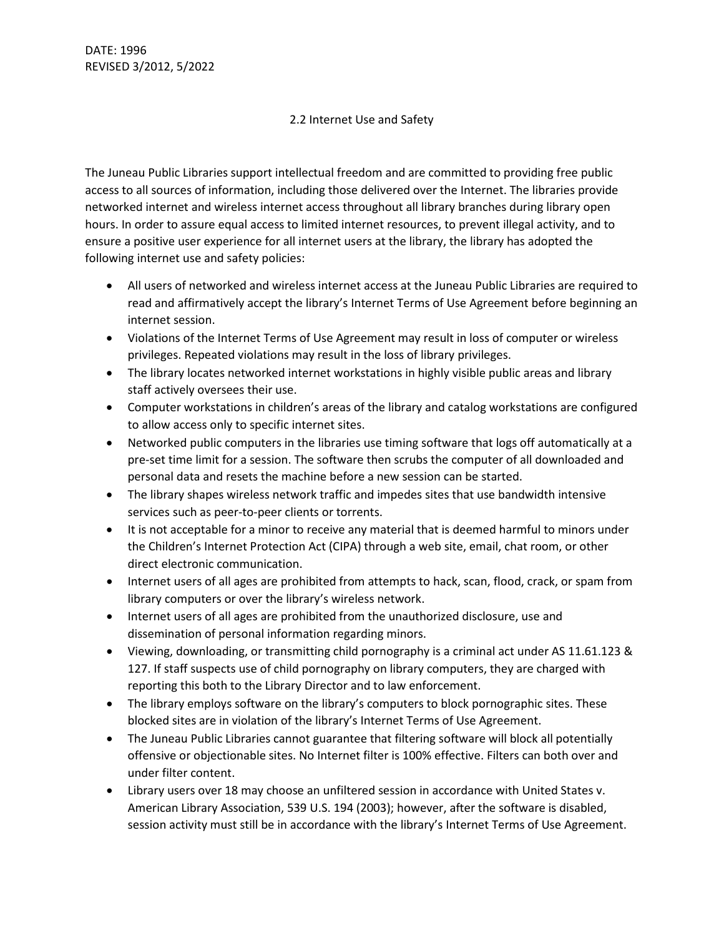## 2.2 Internet Use and Safety

The Juneau Public Libraries support intellectual freedom and are committed to providing free public access to all sources of information, including those delivered over the Internet. The libraries provide networked internet and wireless internet access throughout all library branches during library open hours. In order to assure equal access to limited internet resources, to prevent illegal activity, and to ensure a positive user experience for all internet users at the library, the library has adopted the following internet use and safety policies:

- All users of networked and wireless internet access at the Juneau Public Libraries are required to read and affirmatively accept the library's Internet Terms of Use Agreement before beginning an internet session.
- Violations of the Internet Terms of Use Agreement may result in loss of computer or wireless privileges. Repeated violations may result in the loss of library privileges.
- The library locates networked internet workstations in highly visible public areas and library staff actively oversees their use.
- Computer workstations in children's areas of the library and catalog workstations are configured to allow access only to specific internet sites.
- Networked public computers in the libraries use timing software that logs off automatically at a pre-set time limit for a session. The software then scrubs the computer of all downloaded and personal data and resets the machine before a new session can be started.
- The library shapes wireless network traffic and impedes sites that use bandwidth intensive services such as peer-to-peer clients or torrents.
- It is not acceptable for a minor to receive any material that is deemed harmful to minors under the Children's Internet Protection Act (CIPA) through a web site, email, chat room, or other direct electronic communication.
- Internet users of all ages are prohibited from attempts to hack, scan, flood, crack, or spam from library computers or over the library's wireless network.
- Internet users of all ages are prohibited from the unauthorized disclosure, use and dissemination of personal information regarding minors.
- Viewing, downloading, or transmitting child pornography is a criminal act under AS 11.61.123 & 127. If staff suspects use of child pornography on library computers, they are charged with reporting this both to the Library Director and to law enforcement.
- The library employs software on the library's computers to block pornographic sites. These blocked sites are in violation of the library's Internet Terms of Use Agreement.
- The Juneau Public Libraries cannot guarantee that filtering software will block all potentially offensive or objectionable sites. No Internet filter is 100% effective. Filters can both over and under filter content.
- Library users over 18 may choose an unfiltered session in accordance with United States v. American Library Association, 539 U.S. 194 (2003); however, after the software is disabled, session activity must still be in accordance with the library's Internet Terms of Use Agreement.